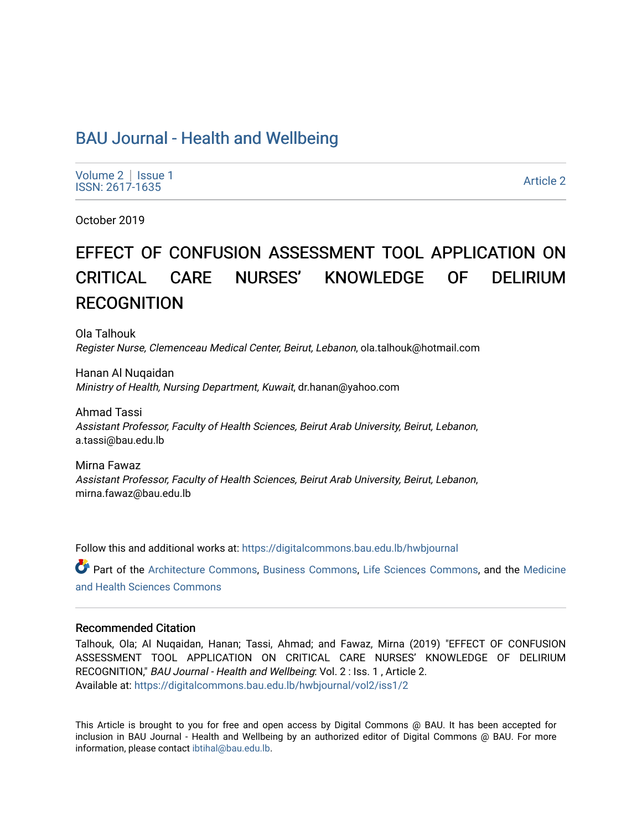# [BAU Journal - Health and Wellbeing](https://digitalcommons.bau.edu.lb/hwbjournal)

[Volume 2](https://digitalcommons.bau.edu.lb/hwbjournal/vol2) | Issue 1 Political Pressure Pressure Pressure Pressure Pressure Pressure Pressure Pressure Pressure Pressure Pressure P<br>
Article 2

October 2019

# EFFECT OF CONFUSION ASSESSMENT TOOL APPLICATION ON CRITICAL CARE NURSES' KNOWLEDGE OF DELIRIUM **RECOGNITION**

Ola Talhouk Register Nurse, Clemenceau Medical Center, Beirut, Lebanon, ola.talhouk@hotmail.com

Hanan Al Nuqaidan Ministry of Health, Nursing Department, Kuwait, dr.hanan@yahoo.com

Ahmad Tassi Assistant Professor, Faculty of Health Sciences, Beirut Arab University, Beirut, Lebanon, a.tassi@bau.edu.lb

Mirna Fawaz Assistant Professor, Faculty of Health Sciences, Beirut Arab University, Beirut, Lebanon, mirna.fawaz@bau.edu.lb

Follow this and additional works at: [https://digitalcommons.bau.edu.lb/hwbjournal](https://digitalcommons.bau.edu.lb/hwbjournal?utm_source=digitalcommons.bau.edu.lb%2Fhwbjournal%2Fvol2%2Fiss1%2F2&utm_medium=PDF&utm_campaign=PDFCoverPages)

Part of the [Architecture Commons](http://network.bepress.com/hgg/discipline/773?utm_source=digitalcommons.bau.edu.lb%2Fhwbjournal%2Fvol2%2Fiss1%2F2&utm_medium=PDF&utm_campaign=PDFCoverPages), [Business Commons,](http://network.bepress.com/hgg/discipline/622?utm_source=digitalcommons.bau.edu.lb%2Fhwbjournal%2Fvol2%2Fiss1%2F2&utm_medium=PDF&utm_campaign=PDFCoverPages) [Life Sciences Commons](http://network.bepress.com/hgg/discipline/1016?utm_source=digitalcommons.bau.edu.lb%2Fhwbjournal%2Fvol2%2Fiss1%2F2&utm_medium=PDF&utm_campaign=PDFCoverPages), and the [Medicine](http://network.bepress.com/hgg/discipline/648?utm_source=digitalcommons.bau.edu.lb%2Fhwbjournal%2Fvol2%2Fiss1%2F2&utm_medium=PDF&utm_campaign=PDFCoverPages)  [and Health Sciences Commons](http://network.bepress.com/hgg/discipline/648?utm_source=digitalcommons.bau.edu.lb%2Fhwbjournal%2Fvol2%2Fiss1%2F2&utm_medium=PDF&utm_campaign=PDFCoverPages)

### Recommended Citation

Talhouk, Ola; Al Nuqaidan, Hanan; Tassi, Ahmad; and Fawaz, Mirna (2019) "EFFECT OF CONFUSION ASSESSMENT TOOL APPLICATION ON CRITICAL CARE NURSES' KNOWLEDGE OF DELIRIUM RECOGNITION," BAU Journal - Health and Wellbeing: Vol. 2 : Iss. 1 , Article 2. Available at: [https://digitalcommons.bau.edu.lb/hwbjournal/vol2/iss1/2](https://digitalcommons.bau.edu.lb/hwbjournal/vol2/iss1/2?utm_source=digitalcommons.bau.edu.lb%2Fhwbjournal%2Fvol2%2Fiss1%2F2&utm_medium=PDF&utm_campaign=PDFCoverPages) 

This Article is brought to you for free and open access by Digital Commons @ BAU. It has been accepted for inclusion in BAU Journal - Health and Wellbeing by an authorized editor of Digital Commons @ BAU. For more information, please contact [ibtihal@bau.edu.lb.](mailto:ibtihal@bau.edu.lb)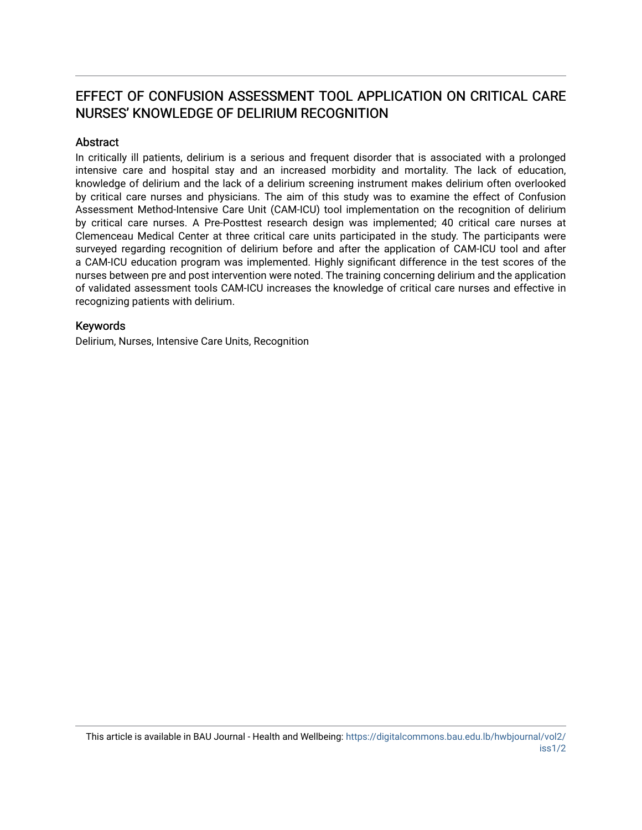# EFFECT OF CONFUSION ASSESSMENT TOOL APPLICATION ON CRITICAL CARE NURSES' KNOWLEDGE OF DELIRIUM RECOGNITION

### Abstract

In critically ill patients, delirium is a serious and frequent disorder that is associated with a prolonged intensive care and hospital stay and an increased morbidity and mortality. The lack of education, knowledge of delirium and the lack of a delirium screening instrument makes delirium often overlooked by critical care nurses and physicians. The aim of this study was to examine the effect of Confusion Assessment Method-Intensive Care Unit (CAM-ICU) tool implementation on the recognition of delirium by critical care nurses. A Pre-Posttest research design was implemented; 40 critical care nurses at Clemenceau Medical Center at three critical care units participated in the study. The participants were surveyed regarding recognition of delirium before and after the application of CAM-ICU tool and after a CAM-ICU education program was implemented. Highly significant difference in the test scores of the nurses between pre and post intervention were noted. The training concerning delirium and the application of validated assessment tools CAM-ICU increases the knowledge of critical care nurses and effective in recognizing patients with delirium.

### Keywords

Delirium, Nurses, Intensive Care Units, Recognition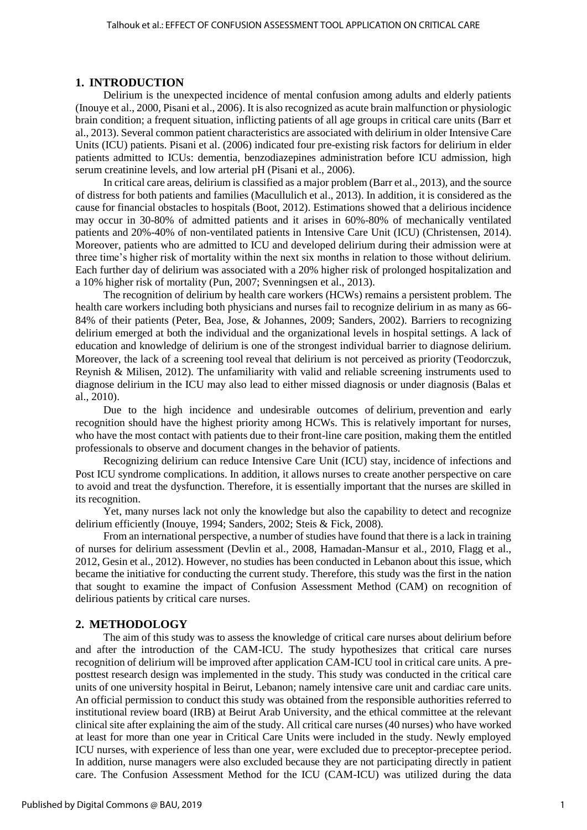### **1. INTRODUCTION**

Delirium is the unexpected incidence of mental confusion among adults and elderly patients (Inouye et al., 2000, Pisani et al., 2006). It is also recognized as acute brain malfunction or physiologic brain condition; a frequent situation, inflicting patients of all age groups in critical care units (Barr et al., 2013). Several common patient characteristics are associated with delirium in older Intensive Care Units (ICU) patients. Pisani et al. (2006) indicated four pre-existing risk factors for delirium in elder patients admitted to ICUs: dementia, benzodiazepines administration before ICU admission, high serum creatinine levels, and low arterial pH (Pisani et al., 2006).

In critical care areas, delirium is classified as a major problem (Barr et al., 2013), and the source of distress for both patients and families (Macullulich et al., 2013). In addition, it is considered as the cause for financial obstacles to hospitals (Boot, 2012). Estimations showed that a delirious incidence may occur in 30-80% of admitted patients and it arises in 60%-80% of mechanically ventilated patients and 20%-40% of non-ventilated patients in Intensive Care Unit (ICU) (Christensen, 2014). Moreover, patients who are admitted to ICU and developed delirium during their admission were at three time's higher risk of mortality within the next six months in relation to those without delirium. Each further day of delirium was associated with a 20% higher risk of prolonged hospitalization and a 10% higher risk of mortality (Pun, 2007; Svenningsen et al., 2013).

The recognition of delirium by health care workers (HCWs) remains a persistent problem. The health care workers including both physicians and nurses fail to recognize delirium in as many as 66- 84% of their patients (Peter, Bea, Jose, & Johannes, 2009; Sanders, 2002). Barriers to recognizing delirium emerged at both the individual and the organizational levels in hospital settings. A lack of education and knowledge of delirium is one of the strongest individual barrier to diagnose delirium. Moreover, the lack of a screening tool reveal that delirium is not perceived as priority (Teodorczuk, Reynish & Milisen, 2012). The unfamiliarity with valid and reliable screening instruments used to diagnose delirium in the ICU may also lead to either missed diagnosis or under diagnosis (Balas et al., 2010).

Due to the high incidence and undesirable outcomes of delirium, prevention and early recognition should have the highest priority among HCWs. This is relatively important for nurses, who have the most contact with patients due to their front-line care position, making them the entitled professionals to observe and document changes in the behavior of patients.

Recognizing delirium can reduce Intensive Care Unit (ICU) stay, incidence of infections and Post ICU syndrome complications. In addition, it allows nurses to create another perspective on care to avoid and treat the dysfunction. Therefore, it is essentially important that the nurses are skilled in its recognition.

Yet, many nurses lack not only the knowledge but also the capability to detect and recognize delirium efficiently (Inouye, 1994; Sanders, 2002; Steis & Fick, 2008).

From an international perspective, a number of studies have found that there is a lack in training of nurses for delirium assessment (Devlin et al., 2008, Hamadan-Mansur et al., 2010, Flagg et al., 2012, Gesin et al., 2012). However, no studies has been conducted in Lebanon about this issue, which became the initiative for conducting the current study. Therefore, this study was the first in the nation that sought to examine the impact of Confusion Assessment Method (CAM) on recognition of delirious patients by critical care nurses.

#### **2. METHODOLOGY**

The aim of this study was to assess the knowledge of critical care nurses about delirium before and after the introduction of the CAM-ICU. The study hypothesizes that critical care nurses recognition of delirium will be improved after application CAM-ICU tool in critical care units. A preposttest research design was implemented in the study. This study was conducted in the critical care units of one university hospital in Beirut, Lebanon; namely intensive care unit and cardiac care units. An official permission to conduct this study was obtained from the responsible authorities referred to institutional review board (IRB) at Beirut Arab University, and the ethical committee at the relevant clinical site after explaining the aim of the study. All critical care nurses (40 nurses) who have worked at least for more than one year in Critical Care Units were included in the study. Newly employed ICU nurses, with experience of less than one year, were excluded due to preceptor-preceptee period. In addition, nurse managers were also excluded because they are not participating directly in patient care. The Confusion Assessment Method for the ICU (CAM-ICU) was utilized during the data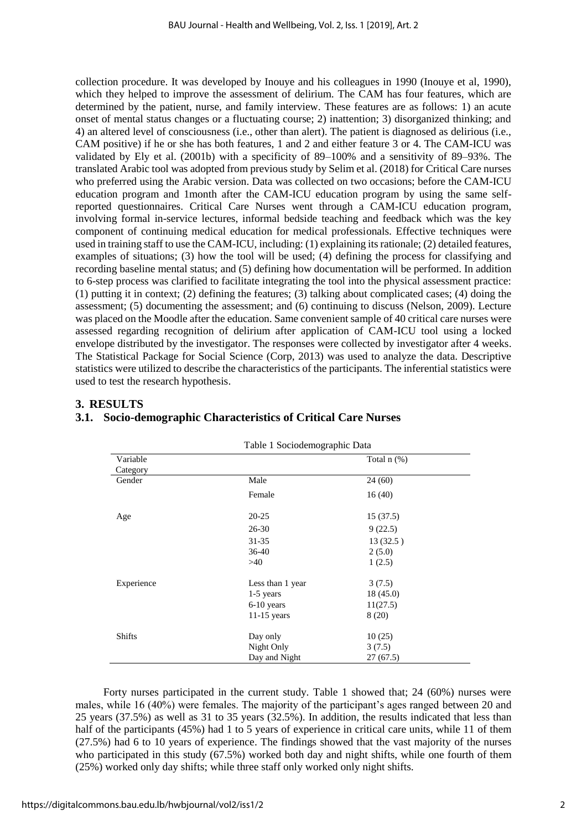collection procedure. It was developed by Inouye and his colleagues in 1990 (Inouye et al, 1990), which they helped to improve the assessment of delirium. The CAM has four features, which are determined by the patient, nurse, and family interview. These features are as follows: 1) an acute onset of mental status changes or a fluctuating course; 2) inattention; 3) disorganized thinking; and 4) an altered level of consciousness (i.e., other than alert). The patient is diagnosed as delirious (i.e., CAM positive) if he or she has both features, 1 and 2 and either feature 3 or 4. The CAM-ICU was validated by Ely et al. (2001b) with a specificity of 89–100% and a sensitivity of 89–93%. The translated Arabic tool was adopted from previous study by Selim et al. (2018) for Critical Care nurses who preferred using the Arabic version. Data was collected on two occasions; before the CAM-ICU education program and 1month after the CAM-ICU education program by using the same selfreported questionnaires. Critical Care Nurses went through a CAM-ICU education program, involving formal in-service lectures, informal bedside teaching and feedback which was the key component of continuing medical education for medical professionals. Effective techniques were used in training staff to use the CAM-ICU, including: (1) explaining its rationale; (2) detailed features, examples of situations; (3) how the tool will be used; (4) defining the process for classifying and recording baseline mental status; and (5) defining how documentation will be performed. In addition to 6-step process was clarified to facilitate integrating the tool into the physical assessment practice: (1) putting it in context; (2) defining the features; (3) talking about complicated cases; (4) doing the assessment; (5) documenting the assessment; and (6) continuing to discuss (Nelson, 2009). Lecture was placed on the Moodle after the education. Same convenient sample of 40 critical care nurses were assessed regarding recognition of delirium after application of CAM-ICU tool using a locked envelope distributed by the investigator. The responses were collected by investigator after 4 weeks. The Statistical Package for Social Science (Corp, 2013) was used to analyze the data. Descriptive statistics were utilized to describe the characteristics of the participants. The inferential statistics were used to test the research hypothesis.

### **3. RESULTS**

### **3.1. Socio-demographic Characteristics of Critical Care Nurses**

|               | Table I Sociouchiographic Data |                  |  |
|---------------|--------------------------------|------------------|--|
| Variable      |                                | Total $n$ $(\%)$ |  |
| Category      |                                |                  |  |
| Gender        | Male                           | 24(60)           |  |
|               | Female                         | 16(40)           |  |
| Age           | $20 - 25$                      | 15(37.5)         |  |
|               | $26 - 30$                      | 9(22.5)          |  |
|               | $31 - 35$                      | 13(32.5)         |  |
|               | $36-40$                        | 2(5.0)           |  |
|               | >40                            | 1(2.5)           |  |
| Experience    | Less than 1 year               | 3(7.5)           |  |
|               | $1-5$ years                    | 18(45.0)         |  |
|               | $6-10$ years                   | 11(27.5)         |  |
|               | $11-15$ years                  | 8 (20)           |  |
| <b>Shifts</b> | Day only                       | 10(25)           |  |
|               | Night Only                     | 3(7.5)           |  |
|               | Day and Night                  | 27(67.5)         |  |

Table 1 Sociodemographic Data

Forty nurses participated in the current study. Table 1 showed that; 24 (60%) nurses were males, while 16 (40%) were females. The majority of the participant's ages ranged between 20 and 25 years (37.5%) as well as 31 to 35 years (32.5%). In addition, the results indicated that less than half of the participants (45%) had 1 to 5 years of experience in critical care units, while 11 of them (27.5%) had 6 to 10 years of experience. The findings showed that the vast majority of the nurses who participated in this study (67.5%) worked both day and night shifts, while one fourth of them (25%) worked only day shifts; while three staff only worked only night shifts.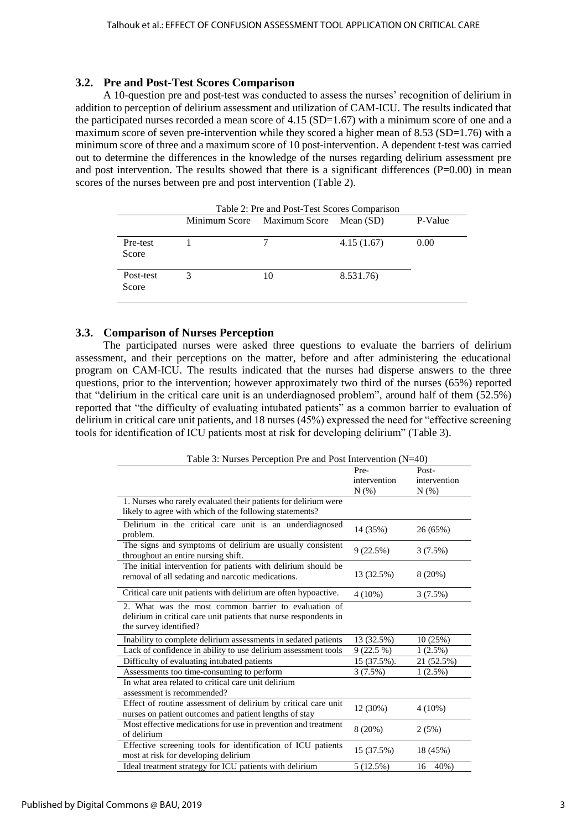### **3.2. Pre and Post-Test Scores Comparison**

A 10-question pre and post-test was conducted to assess the nurses' recognition of delirium in addition to perception of delirium assessment and utilization of CAM-ICU. The results indicated that the participated nurses recorded a mean score of  $4.15$  (SD=1.67) with a minimum score of one and a maximum score of seven pre-intervention while they scored a higher mean of 8.53 (SD=1.76) with a minimum score of three and a maximum score of 10 post-intervention. A dependent t-test was carried out to determine the differences in the knowledge of the nurses regarding delirium assessment pre and post intervention. The results showed that there is a significant differences  $(P=0.00)$  in mean scores of the nurses between pre and post intervention (Table 2).

| Table 2: Pre and Post-Test Scores Comparison |   |                                       |            |         |
|----------------------------------------------|---|---------------------------------------|------------|---------|
|                                              |   | Minimum Score Maximum Score Mean (SD) |            | P-Value |
| Pre-test<br>Score                            |   |                                       | 4.15(1.67) | 0.00    |
| Post-test<br>Score                           | 3 | 10                                    | 8.531.76)  |         |

### **3.3. Comparison of Nurses Perception**

The participated nurses were asked three questions to evaluate the barriers of delirium assessment, and their perceptions on the matter, before and after administering the educational program on CAM-ICU. The results indicated that the nurses had disperse answers to the three questions, prior to the intervention; however approximately two third of the nurses (65%) reported that "delirium in the critical care unit is an underdiagnosed problem", around half of them (52.5%) reported that "the difficulty of evaluating intubated patients" as a common barrier to evaluation of delirium in critical care unit patients, and 18 nurses (45%) expressed the need for "effective screening tools for identification of ICU patients most at risk for developing delirium" (Table 3).

| Table 3: Nurses Perception Pre and Post Intervention (N=40)       |              |              |  |  |
|-------------------------------------------------------------------|--------------|--------------|--|--|
|                                                                   | Pre-         | Post-        |  |  |
|                                                                   | intervention | intervention |  |  |
|                                                                   | N(% )        | $N(\%)$      |  |  |
| 1. Nurses who rarely evaluated their patients for delirium were   |              |              |  |  |
| likely to agree with which of the following statements?           |              |              |  |  |
| Delirium in the critical care unit is an underdiagnosed           | 14 (35%)     | 26 (65%)     |  |  |
| problem.                                                          |              |              |  |  |
| The signs and symptoms of delirium are usually consistent         | 9(22.5%)     | $3(7.5\%)$   |  |  |
| throughout an entire nursing shift.                               |              |              |  |  |
| The initial intervention for patients with delirium should be     |              |              |  |  |
| removal of all sedating and narcotic medications.                 | 13 (32.5%)   | 8(20%)       |  |  |
| Critical care unit patients with delirium are often hypoactive.   | $4(10\%)$    | 3(7.5%)      |  |  |
| 2. What was the most common barrier to evaluation of              |              |              |  |  |
| delirium in critical care unit patients that nurse respondents in |              |              |  |  |
| the survey identified?                                            |              |              |  |  |
|                                                                   |              |              |  |  |
| Inability to complete delirium assessments in sedated patients    | 13 (32.5%)   | 10 (25%)     |  |  |
| Lack of confidence in ability to use delirium assessment tools    | $9(22.5\%)$  | 1(2.5%)      |  |  |
| Difficulty of evaluating intubated patients                       | 15 (37.5%).  | 21 (52.5%)   |  |  |
| Assessments too time-consuming to perform                         | 3(7.5%)      | $1(2.5\%)$   |  |  |
| In what area related to critical care unit delirium               |              |              |  |  |
| assessment is recommended?                                        |              |              |  |  |
| Effect of routine assessment of delirium by critical care unit    | 12 (30%)     | $4(10\%)$    |  |  |
| nurses on patient outcomes and patient lengths of stay            |              |              |  |  |
| Most effective medications for use in prevention and treatment    | 8 (20%)      | 2(5%)        |  |  |
| of delirium                                                       |              |              |  |  |
| Effective screening tools for identification of ICU patients      | 15 (37.5%)   | 18 (45%)     |  |  |
| most at risk for developing delirium                              |              |              |  |  |
| Ideal treatment strategy for ICU patients with delirium           | 5 (12.5%)    | 40%)<br>16   |  |  |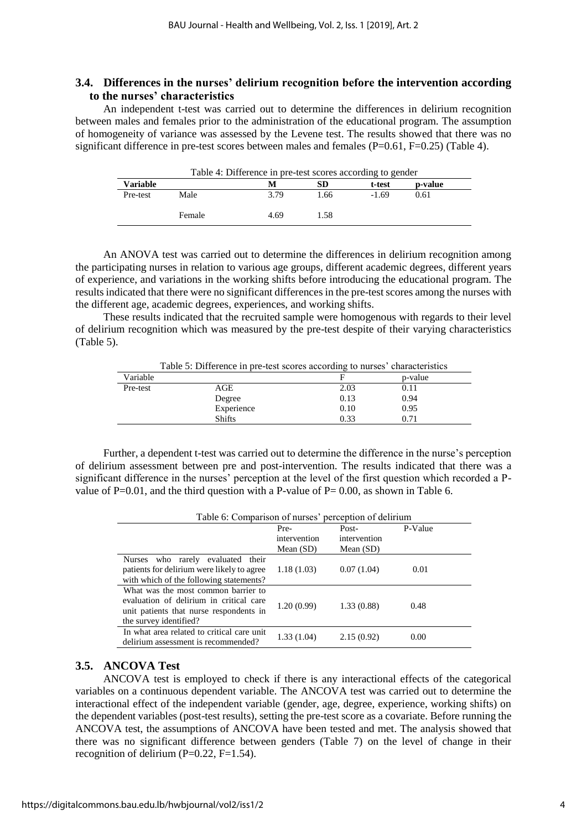### **3.4. Differences in the nurses' delirium recognition before the intervention according to the nurses' characteristics**

An independent t-test was carried out to determine the differences in delirium recognition between males and females prior to the administration of the educational program. The assumption of homogeneity of variance was assessed by the Levene test. The results showed that there was no significant difference in pre-test scores between males and females ( $P=0.61$ ,  $F=0.25$ ) (Table 4).

| Table 4: Difference in pre-test scores according to gender |        |      |      |         |         |
|------------------------------------------------------------|--------|------|------|---------|---------|
| <b>Variable</b>                                            |        | M    | SD   | t-test  | p-value |
| Pre-test                                                   | Male   | 3.79 | 1.66 | $-1.69$ | 0.61    |
|                                                            | Female | 4.69 | 1.58 |         |         |

An ANOVA test was carried out to determine the differences in delirium recognition among the participating nurses in relation to various age groups, different academic degrees, different years of experience, and variations in the working shifts before introducing the educational program. The results indicated that there were no significant differences in the pre-test scores among the nurses with the different age, academic degrees, experiences, and working shifts.

These results indicated that the recruited sample were homogenous with regards to their level of delirium recognition which was measured by the pre-test despite of their varying characteristics (Table 5).

| Table 5: Difference in pre-test scores according to nurses' characteristics |      |         |  |  |  |  |
|-----------------------------------------------------------------------------|------|---------|--|--|--|--|
|                                                                             |      | p-value |  |  |  |  |
| AGE                                                                         | 2.03 | 0.11    |  |  |  |  |
| Degree                                                                      | 0.13 | 0.94    |  |  |  |  |
| Experience                                                                  | 0.10 | 0.95    |  |  |  |  |
| 0.33<br><b>Shifts</b><br>0.71                                               |      |         |  |  |  |  |
|                                                                             |      |         |  |  |  |  |

Further, a dependent t-test was carried out to determine the difference in the nurse's perception of delirium assessment between pre and post-intervention. The results indicated that there was a significant difference in the nurses' perception at the level of the first question which recorded a Pvalue of  $P=0.01$ , and the third question with a P-value of  $P= 0.00$ , as shown in Table 6.

| Table 6: Comparison of nurses' perception of delirium                                                                                               |              |              |         |  |  |  |
|-----------------------------------------------------------------------------------------------------------------------------------------------------|--------------|--------------|---------|--|--|--|
|                                                                                                                                                     | Pre-         | Post-        | P-Value |  |  |  |
|                                                                                                                                                     | intervention | intervention |         |  |  |  |
|                                                                                                                                                     | Mean $(SD)$  | Mean $(SD)$  |         |  |  |  |
| Nurses who rarely evaluated their<br>patients for delirium were likely to agree<br>with which of the following statements?                          | 1.18(1.03)   | 0.07(1.04)   | 0.01    |  |  |  |
| What was the most common barrier to<br>evaluation of delirium in critical care<br>unit patients that nurse respondents in<br>the survey identified? | 1.20(0.99)   | 1.33(0.88)   | 0.48    |  |  |  |
| In what area related to critical care unit<br>delirium assessment is recommended?                                                                   | 1.33(1.04)   | 2.15(0.92)   | 0.00    |  |  |  |

### **3.5. ANCOVA Test**

ANCOVA test is employed to check if there is any interactional effects of the categorical variables on a continuous dependent variable. The ANCOVA test was carried out to determine the interactional effect of the independent variable (gender, age, degree, experience, working shifts) on the dependent variables (post-test results), setting the pre-test score as a covariate. Before running the ANCOVA test, the assumptions of ANCOVA have been tested and met. The analysis showed that there was no significant difference between genders (Table 7) on the level of change in their recognition of delirium  $(P=0.22, F=1.54)$ .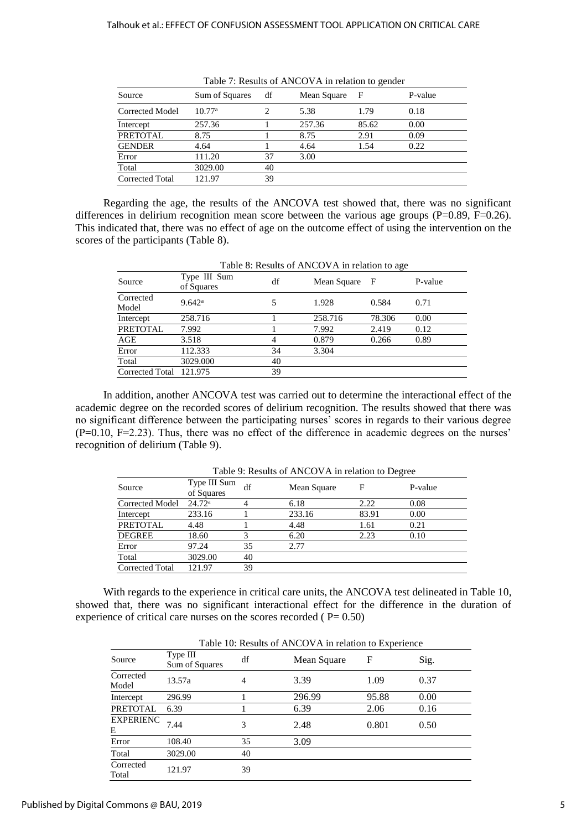| Source                 | Sum of Squares     | df | Mean Square | - F   | P-value |
|------------------------|--------------------|----|-------------|-------|---------|
| Corrected Model        | 10.77 <sup>a</sup> |    | 5.38        | 1.79  | 0.18    |
| Intercept              | 257.36             |    | 257.36      | 85.62 | 0.00    |
| <b>PRETOTAL</b>        | 8.75               |    | 8.75        | 2.91  | 0.09    |
| <b>GENDER</b>          | 4.64               |    | 4.64        | 1.54  | 0.22    |
| Error                  | 111.20             | 37 | 3.00        |       |         |
| Total                  | 3029.00            | 40 |             |       |         |
| <b>Corrected Total</b> | 121.97             | 39 |             |       |         |

Regarding the age, the results of the ANCOVA test showed that, there was no significant differences in delirium recognition mean score between the various age groups ( $P=0.89$ ,  $F=0.26$ ). This indicated that, there was no effect of age on the outcome effect of using the intervention on the scores of the participants (Table 8).

| Table 8: Results of ANCOVA in relation to age |                            |    |               |        |         |
|-----------------------------------------------|----------------------------|----|---------------|--------|---------|
| Source                                        | Type III Sum<br>of Squares | df | Mean Square F |        | P-value |
| Corrected<br>Model                            | 9.642 <sup>a</sup>         |    | 1.928         | 0.584  | 0.71    |
| Intercept                                     | 258.716                    |    | 258.716       | 78.306 | 0.00    |
| <b>PRETOTAL</b>                               | 7.992                      |    | 7.992         | 2.419  | 0.12    |
| AGE                                           | 3.518                      |    | 0.879         | 0.266  | 0.89    |
| Error                                         | 112.333                    | 34 | 3.304         |        |         |
| Total                                         | 3029.000                   | 40 |               |        |         |
| Corrected Total                               | 121.975                    | 39 |               |        |         |

In addition, another ANCOVA test was carried out to determine the interactional effect of the academic degree on the recorded scores of delirium recognition. The results showed that there was no significant difference between the participating nurses' scores in regards to their various degree (P=0.10, F=2.23). Thus, there was no effect of the difference in academic degrees on the nurses' recognition of delirium (Table 9).

 $T<sub>1</sub>11, 0, D<sub>2</sub>$ ,  $T<sub>3</sub>$ ,  $T<sub>4</sub>$   $N<sub>1</sub>$   $N<sub>2</sub>$   $N<sub>3</sub>$ ,  $N<sub>4</sub>$ ,  $D<sub>5</sub>$ ,  $N<sub>5</sub>$ 

|                        | Table 9: Results of ANCOVA in relation to Degree |    |             |       |         |  |  |
|------------------------|--------------------------------------------------|----|-------------|-------|---------|--|--|
| Source                 | Type III Sum<br>of Squares                       | df | Mean Square | F     | P-value |  |  |
| <b>Corrected Model</b> | 24.72 <sup>a</sup>                               |    | 6.18        | 2.22  | 0.08    |  |  |
| Intercept              | 233.16                                           |    | 233.16      | 83.91 | 0.00    |  |  |
| <b>PRETOTAL</b>        | 4.48                                             |    | 4.48        | 1.61  | 0.21    |  |  |
| <b>DEGREE</b>          | 18.60                                            | 3  | 6.20        | 2.23  | 0.10    |  |  |
| Error                  | 97.24                                            | 35 | 2.77        |       |         |  |  |
| Total                  | 3029.00                                          | 40 |             |       |         |  |  |
| <b>Corrected Total</b> | 121.97                                           | 39 |             |       |         |  |  |

With regards to the experience in critical care units, the ANCOVA test delineated in Table 10, showed that, there was no significant interactional effect for the difference in the duration of experience of critical care nurses on the scores recorded ( $P= 0.50$ )

Table 10: Results of ANCOVA in relation to Experience

|                       | Table 10: Results of ANCOVA in relation to Experience |    |             |       |      |  |  |
|-----------------------|-------------------------------------------------------|----|-------------|-------|------|--|--|
| Source                | Type III<br>Sum of Squares                            | df | Mean Square | F     | Sig. |  |  |
| Corrected<br>Model    | 13.57a                                                | 4  | 3.39        | 1.09  | 0.37 |  |  |
| Intercept             | 296.99                                                |    | 296.99      | 95.88 | 0.00 |  |  |
| PRETOTAL              | 6.39                                                  |    | 6.39        | 2.06  | 0.16 |  |  |
| <b>EXPERIENC</b><br>Е | 7.44                                                  | 3  | 2.48        | 0.801 | 0.50 |  |  |
| Error                 | 108.40                                                | 35 | 3.09        |       |      |  |  |
| Total                 | 3029.00                                               | 40 |             |       |      |  |  |
| Corrected<br>Total    | 121.97                                                | 39 |             |       |      |  |  |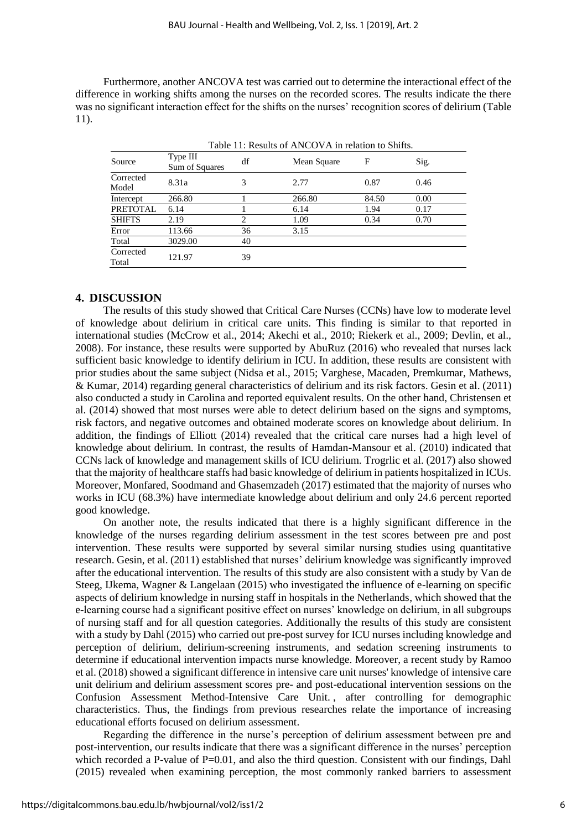Furthermore, another ANCOVA test was carried out to determine the interactional effect of the difference in working shifts among the nurses on the recorded scores. The results indicate the there was no significant interaction effect for the shifts on the nurses' recognition scores of delirium (Table 11).

| Table 11: Results of ANCOVA in relation to Shifts. |                            |    |             |       |      |  |
|----------------------------------------------------|----------------------------|----|-------------|-------|------|--|
| Source                                             | Type III<br>Sum of Squares | df | Mean Square | F     | Sig. |  |
| Corrected<br>Model                                 | 8.31a                      | 3  | 2.77        | 0.87  | 0.46 |  |
| Intercept                                          | 266.80                     |    | 266.80      | 84.50 | 0.00 |  |
| <b>PRETOTAL</b>                                    | 6.14                       |    | 6.14        | 1.94  | 0.17 |  |
| <b>SHIFTS</b>                                      | 2.19                       | 2  | 1.09        | 0.34  | 0.70 |  |
| Error                                              | 113.66                     | 36 | 3.15        |       |      |  |
| Total                                              | 3029.00                    | 40 |             |       |      |  |
| Corrected<br>Total                                 | 121.97                     | 39 |             |       |      |  |

### **4. DISCUSSION**

The results of this study showed that Critical Care Nurses (CCNs) have low to moderate level of knowledge about delirium in critical care units. This finding is similar to that reported in international studies (McCrow et al., 2014; Akechi et al., 2010; Riekerk et al., 2009; Devlin, et al., 2008). For instance, these results were supported by AbuRuz (2016) who revealed that nurses lack sufficient basic knowledge to identify delirium in ICU. In addition, these results are consistent with prior studies about the same subject (Nidsa et al., 2015; Varghese, Macaden, Premkumar, Mathews, & Kumar, 2014) regarding general characteristics of delirium and its risk factors. Gesin et al. (2011) also conducted a study in Carolina and reported equivalent results. On the other hand, Christensen et al. (2014) showed that most nurses were able to detect delirium based on the signs and symptoms, risk factors, and negative outcomes and obtained moderate scores on knowledge about delirium. In addition, the findings of Elliott (2014) revealed that the critical care nurses had a high level of knowledge about delirium. In contrast, the results of Hamdan-Mansour et al. (2010) indicated that CCNs lack of knowledge and management skills of ICU delirium. Trogrlic et al. (2017) also showed that the majority of healthcare staffs had basic knowledge of delirium in patients hospitalized in ICUs. Moreover, Monfared, Soodmand and Ghasemzadeh (2017) estimated that the majority of nurses who works in ICU (68.3%) have intermediate knowledge about delirium and only 24.6 percent reported good knowledge.

On another note, the results indicated that there is a highly significant difference in the knowledge of the nurses regarding delirium assessment in the test scores between pre and post intervention. These results were supported by several similar nursing studies using quantitative research. Gesin, et al. (2011) established that nurses' delirium knowledge was significantly improved after the educational intervention. The results of this study are also consistent with a study by Van de Steeg, IJkema, Wagner & Langelaan (2015) who investigated the influence of e-learning on specific aspects of delirium knowledge in nursing staff in hospitals in the Netherlands, which showed that the e-learning course had a significant positive effect on nurses' knowledge on delirium, in all subgroups of nursing staff and for all question categories. Additionally the results of this study are consistent with a study by Dahl (2015) who carried out pre-post survey for ICU nurses including knowledge and perception of delirium, delirium-screening instruments, and sedation screening instruments to determine if educational intervention impacts nurse knowledge. Moreover, a recent study by Ramoo et al. (2018) showed a significant difference in intensive care unit nurses' knowledge of intensive care unit delirium and delirium assessment scores pre- and post-educational intervention sessions on the Confusion Assessment Method-Intensive Care Unit. , after controlling for demographic characteristics. Thus, the findings from previous researches relate the importance of increasing educational efforts focused on delirium assessment.

Regarding the difference in the nurse's perception of delirium assessment between pre and post-intervention, our results indicate that there was a significant difference in the nurses' perception which recorded a P-value of P=0.01, and also the third question. Consistent with our findings, Dahl (2015) revealed when examining perception, the most commonly ranked barriers to assessment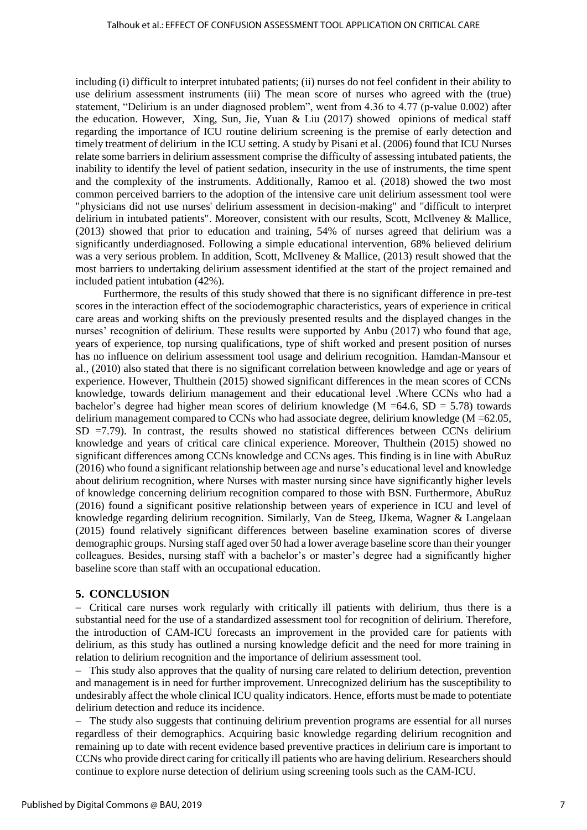including (i) difficult to interpret intubated patients; (ii) nurses do not feel confident in their ability to use delirium assessment instruments (iii) The mean score of nurses who agreed with the (true) statement, "Delirium is an under diagnosed problem", went from 4.36 to 4.77 (p-value 0.002) after the education. However, Xing, Sun, Jie, Yuan & Liu (2017) showed opinions of medical staff regarding the importance of ICU routine delirium screening is the premise of early detection and timely treatment of delirium in the ICU setting. A study by Pisani et al. (2006) found that ICU Nurses relate some barriers in delirium assessment comprise the difficulty of assessing intubated patients, the inability to identify the level of patient sedation, insecurity in the use of instruments, the time spent and the complexity of the instruments. Additionally, Ramoo et al. (2018) showed the two most common perceived barriers to the adoption of the intensive care unit delirium assessment tool were "physicians did not use nurses' delirium assessment in decision-making" and "difficult to interpret delirium in intubated patients". Moreover, consistent with our results, Scott, McIlveney & Mallice, (2013) showed that prior to education and training, 54% of nurses agreed that delirium was a significantly underdiagnosed. Following a simple educational intervention, 68% believed delirium was a very serious problem. In addition, Scott, McIlveney & Mallice, (2013) result showed that the most barriers to undertaking delirium assessment identified at the start of the project remained and included patient intubation (42%).

Furthermore, the results of this study showed that there is no significant difference in pre-test scores in the interaction effect of the sociodemographic characteristics, years of experience in critical care areas and working shifts on the previously presented results and the displayed changes in the nurses' recognition of delirium. These results were supported by Anbu (2017) who found that age, years of experience, top nursing qualifications, type of shift worked and present position of nurses has no influence on delirium assessment tool usage and delirium recognition. Hamdan-Mansour et al., (2010) also stated that there is no significant correlation between knowledge and age or years of experience. However, Thulthein (2015) showed significant differences in the mean scores of CCNs knowledge, towards delirium management and their educational level .Where CCNs who had a bachelor's degree had higher mean scores of delirium knowledge ( $M = 64.6$ ,  $SD = 5.78$ ) towards delirium management compared to CCNs who had associate degree, delirium knowledge (M =62.05,  $SD = 7.79$ . In contrast, the results showed no statistical differences between CCNs delirium knowledge and years of critical care clinical experience. Moreover, Thulthein (2015) showed no significant differences among CCNs knowledge and CCNs ages. This finding is in line with AbuRuz (2016) who found a significant relationship between age and nurse's educational level and knowledge about delirium recognition, where Nurses with master nursing since have significantly higher levels of knowledge concerning delirium recognition compared to those with BSN. Furthermore, AbuRuz (2016) found a significant positive relationship between years of experience in ICU and level of knowledge regarding delirium recognition. Similarly, Van de Steeg, IJkema, Wagner & Langelaan (2015) found relatively significant differences between baseline examination scores of diverse demographic groups. Nursing staff aged over 50 had a lower average baseline score than their younger colleagues. Besides, nursing staff with a bachelor's or master's degree had a significantly higher baseline score than staff with an occupational education.

### **5. CONCLUSION**

 Critical care nurses work regularly with critically ill patients with delirium, thus there is a substantial need for the use of a standardized assessment tool for recognition of delirium. Therefore, the introduction of CAM-ICU forecasts an improvement in the provided care for patients with delirium, as this study has outlined a nursing knowledge deficit and the need for more training in relation to delirium recognition and the importance of delirium assessment tool.

- This study also approves that the quality of nursing care related to delirium detection, prevention and management is in need for further improvement. Unrecognized delirium has the susceptibility to undesirably affect the whole clinical ICU quality indicators. Hence, efforts must be made to potentiate delirium detection and reduce its incidence.

 The study also suggests that continuing delirium prevention programs are essential for all nurses regardless of their demographics. Acquiring basic knowledge regarding delirium recognition and remaining up to date with recent evidence based preventive practices in delirium care is important to CCNs who provide direct caring for critically ill patients who are having delirium. Researchers should continue to explore nurse detection of delirium using screening tools such as the CAM-ICU.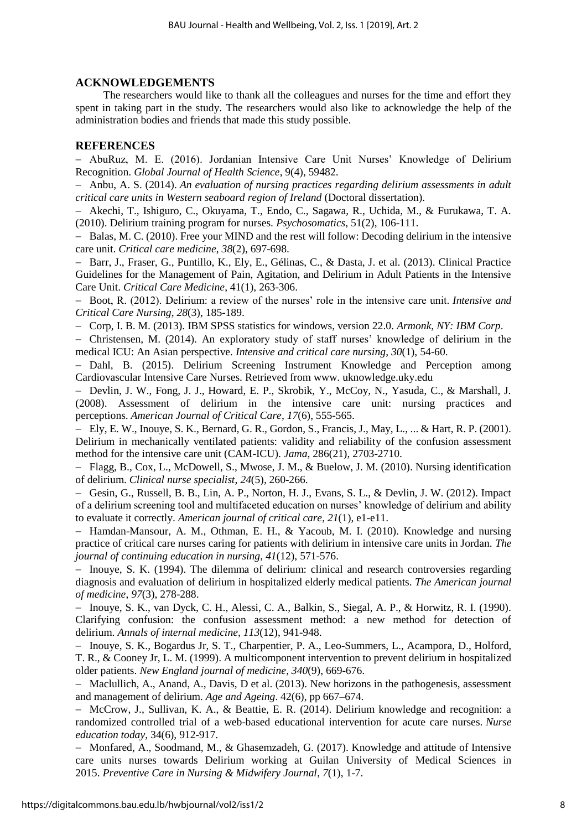### **ACKNOWLEDGEMENTS**

The researchers would like to thank all the colleagues and nurses for the time and effort they spent in taking part in the study. The researchers would also like to acknowledge the help of the administration bodies and friends that made this study possible.

### **REFERENCES**

 AbuRuz, M. E. (2016). Jordanian Intensive Care Unit Nurses' Knowledge of Delirium Recognition. *Global Journal of Health Science*, 9(4), 59482.

 Anbu, A. S. (2014). *An evaluation of nursing practices regarding delirium assessments in adult critical care units in Western seaboard region of Ireland* (Doctoral dissertation).

 Akechi, T., Ishiguro, C., Okuyama, T., Endo, C., Sagawa, R., Uchida, M., & Furukawa, T. A. (2010). Delirium training program for nurses. *Psychosomatics*, 51(2), 106-111.

- Balas, M. C. (2010). Free your MIND and the rest will follow: Decoding delirium in the intensive care unit. *Critical care medicine*, *38*(2), 697-698.

- Barr, J., Fraser, G., Puntillo, K., Ely, E., Gélinas, C., & Dasta, J. et al. (2013). Clinical Practice Guidelines for the Management of Pain, Agitation, and Delirium in Adult Patients in the Intensive Care Unit. *Critical Care Medicine*, 41(1), 263-306.

 Boot, R. (2012). Delirium: a review of the nurses' role in the intensive care unit. *Intensive and Critical Care Nursing*, *28*(3), 185-189.

Corp, I. B. M. (2013). IBM SPSS statistics for windows, version 22.0. *Armonk, NY: IBM Corp*.

 Christensen, M. (2014). An exploratory study of staff nurses' knowledge of delirium in the medical ICU: An Asian perspective. *Intensive and critical care nursing*, *30*(1), 54-60.

- Dahl, B. (2015). Delirium Screening Instrument Knowledge and Perception among Cardiovascular Intensive Care Nurses. Retrieved from [www. uknowledge.uky.edu](https://uknowledge.uky.edu/dnp_etds/72) 

- Devlin, J. W., Fong, J. J., Howard, E. P., Skrobik, Y., McCoy, N., Yasuda, C., & Marshall, J. (2008). Assessment of delirium in the intensive care unit: nursing practices and perceptions. *American Journal of Critical Care*, *17*(6), 555-565.

 Ely, E. W., Inouye, S. K., Bernard, G. R., Gordon, S., Francis, J., May, L., ... & Hart, R. P. (2001). Delirium in mechanically ventilated patients: validity and reliability of the confusion assessment method for the intensive care unit (CAM-ICU). *Jama*, 286(21), 2703-2710.

 Flagg, B., Cox, L., McDowell, S., Mwose, J. M., & Buelow, J. M. (2010). Nursing identification of delirium. *Clinical nurse specialist*, *24*(5), 260-266.

- Gesin, G., Russell, B. B., Lin, A. P., Norton, H. J., Evans, S. L., & Devlin, J. W. (2012). Impact of a delirium screening tool and multifaceted education on nurses' knowledge of delirium and ability to evaluate it correctly. *American journal of critical care*, *21*(1), e1-e11.

 $-$  Hamdan-Mansour, A. M., Othman, E. H., & Yacoub, M. I. (2010). Knowledge and nursing practice of critical care nurses caring for patients with delirium in intensive care units in Jordan. *The journal of continuing education in nursing*, *41*(12), 571-576.

 Inouye, S. K. (1994). The dilemma of delirium: clinical and research controversies regarding diagnosis and evaluation of delirium in hospitalized elderly medical patients. *The American journal of medicine*, *97*(3), 278-288.

 Inouye, S. K., van Dyck, C. H., Alessi, C. A., Balkin, S., Siegal, A. P., & Horwitz, R. I. (1990). Clarifying confusion: the confusion assessment method: a new method for detection of delirium. *Annals of internal medicine*, *113*(12), 941-948.

- Inouye, S. K., Bogardus Jr, S. T., Charpentier, P. A., Leo-Summers, L., Acampora, D., Holford, T. R., & Cooney Jr, L. M. (1999). A multicomponent intervention to prevent delirium in hospitalized older patients. *New England journal of medicine*, *340*(9), 669-676.

 Maclullich, A., Anand, A., Davis, D et al. (2013). New horizons in the pathogenesis, assessment and management of delirium. *Age and Ageing*. 42(6), pp 667–674.

 McCrow, J., Sullivan, K. A., & Beattie, E. R. (2014). Delirium knowledge and recognition: a randomized controlled trial of a web-based educational intervention for acute care nurses. *Nurse education today*, 34(6), 912-917.

- Monfared, A., Soodmand, M., & Ghasemzadeh, G. (2017). Knowledge and attitude of Intensive care units nurses towards Delirium working at Guilan University of Medical Sciences in 2015. *Preventive Care in Nursing & Midwifery Journal*, *7*(1), 1-7.